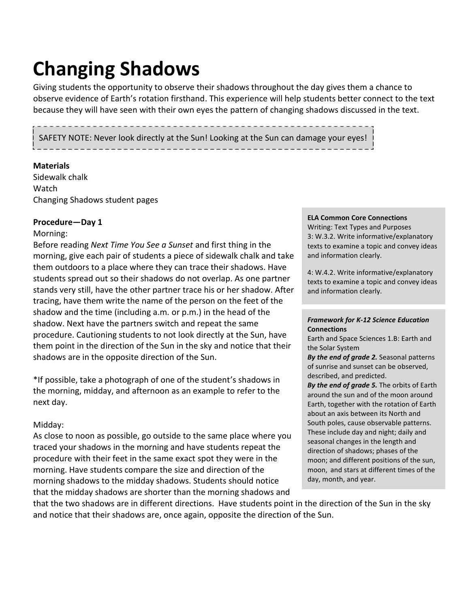# **Changing Shadows**

Giving students the opportunity to observe their shadows throughout the day gives them a chance to observe evidence of Earth's rotation firsthand. This experience will help students better connect to the text because they will have seen with their own eyes the pattern of changing shadows discussed in the text.

### SAFETY NOTE: Never look directly at the Sun! Looking at the Sun can damage your eyes!

#### **Materials**

Sidewalk chalk Watch Changing Shadows student pages

#### **Procedure—Day 1**

#### Morning:

Before reading *Next Time You See a Sunset* and first thing in the morning, give each pair of students a piece of sidewalk chalk and take them outdoors to a place where they can trace their shadows. Have students spread out so their shadows do not overlap. As one partner stands very still, have the other partner trace his or her shadow. After tracing, have them write the name of the person on the feet of the shadow and the time (including a.m. or p.m.) in the head of the shadow. Next have the partners switch and repeat the same procedure. Cautioning students to not look directly at the Sun, have them point in the direction of the Sun in the sky and notice that their shadows are in the opposite direction of the Sun.

\*If possible, take a photograph of one of the student's shadows in the morning, midday, and afternoon as an example to refer to the next day.

#### Midday:

As close to noon as possible, go outside to the same place where you traced your shadows in the morning and have students repeat the procedure with their feet in the same exact spot they were in the morning. Have students compare the size and direction of the morning shadows to the midday shadows. Students should notice that the midday shadows are shorter than the morning shadows and

#### **ELA Common Core Connections**

Writing: Text Types and Purposes 3: W.3.2. Write informative/explanatory texts to examine a topic and convey ideas and information clearly.

4: W.4.2. Write informative/explanatory texts to examine a topic and convey ideas and information clearly.

#### *Framework for K-12 Science Education* **Connections**

Earth and Space Sciences 1.B: Earth and the Solar System

*By the end of grade 2.* Seasonal patterns of sunrise and sunset can be observed, described, and predicted.

*By the end of grade 5.* The orbits of Earth around the sun and of the moon around Earth, together with the rotation of Earth about an axis between its North and South poles, cause observable patterns. These include day and night; daily and seasonal changes in the length and direction of shadows; phases of the moon; and different positions of the sun, moon, and stars at different times of the day, month, and year.

that the two shadows are in different directions. Have students point in the direction of the Sun in the sky and notice that their shadows are, once again, opposite the direction of the Sun.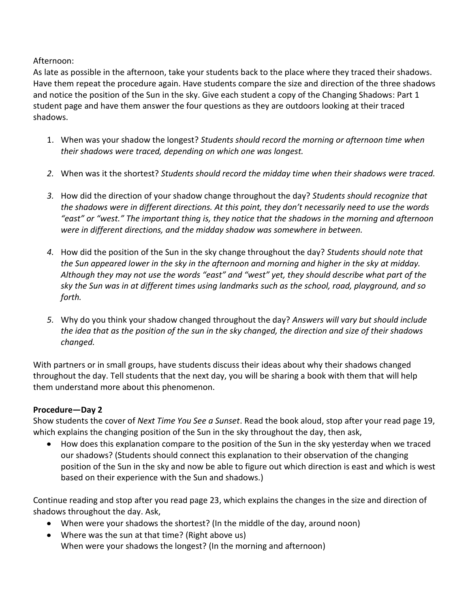Afternoon:

As late as possible in the afternoon, take your students back to the place where they traced their shadows. Have them repeat the procedure again. Have students compare the size and direction of the three shadows and notice the position of the Sun in the sky. Give each student a copy of the Changing Shadows: Part 1 student page and have them answer the four questions as they are outdoors looking at their traced shadows.

- 1. When was your shadow the longest? *Students should record the morning or afternoon time when their shadows were traced, depending on which one was longest.*
- *2.* When was it the shortest? *Students should record the midday time when their shadows were traced.*
- *3.* How did the direction of your shadow change throughout the day? *Students should recognize that the shadows were in different directions. At this point, they don't necessarily need to use the words "east" or "west." The important thing is, they notice that the shadows in the morning and afternoon were in different directions, and the midday shadow was somewhere in between.*
- *4.* How did the position of the Sun in the sky change throughout the day? *Students should note that the Sun appeared lower in the sky in the afternoon and morning and higher in the sky at midday. Although they may not use the words "east" and "west" yet, they should describe what part of the sky the Sun was in at different times using landmarks such as the school, road, playground, and so forth.*
- *5.* Why do you think your shadow changed throughout the day? *Answers will vary but should include the idea that as the position of the sun in the sky changed, the direction and size of their shadows changed.*

With partners or in small groups, have students discuss their ideas about why their shadows changed throughout the day. Tell students that the next day, you will be sharing a book with them that will help them understand more about this phenomenon.

### **Procedure—Day 2**

Show students the cover of *Next Time You See a Sunset*. Read the book aloud, stop after your read page 19, which explains the changing position of the Sun in the sky throughout the day, then ask,

How does this explanation compare to the position of the Sun in the sky yesterday when we traced  $\bullet$ our shadows? (Students should connect this explanation to their observation of the changing position of the Sun in the sky and now be able to figure out which direction is east and which is west based on their experience with the Sun and shadows.)

Continue reading and stop after you read page 23, which explains the changes in the size and direction of shadows throughout the day. Ask,

- When were your shadows the shortest? (In the middle of the day, around noon)
- Where was the sun at that time? (Right above us) When were your shadows the longest? (In the morning and afternoon)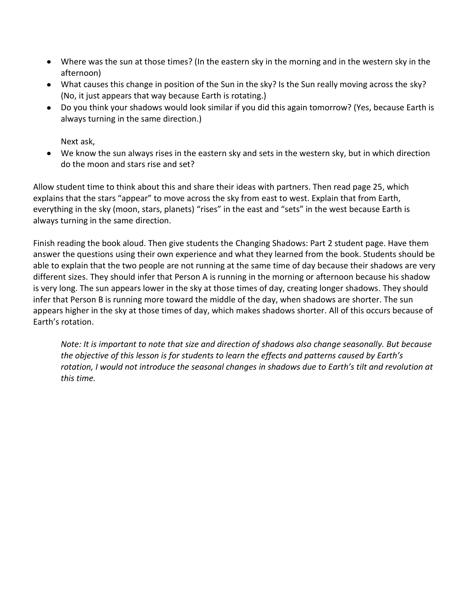- Where was the sun at those times? (In the eastern sky in the morning and in the western sky in the afternoon)
- What causes this change in position of the Sun in the sky? Is the Sun really moving across the sky? (No, it just appears that way because Earth is rotating.)
- Do you think your shadows would look similar if you did this again tomorrow? (Yes, because Earth is always turning in the same direction.)

Next ask,

We know the sun always rises in the eastern sky and sets in the western sky, but in which direction do the moon and stars rise and set?

Allow student time to think about this and share their ideas with partners. Then read page 25, which explains that the stars "appear" to move across the sky from east to west. Explain that from Earth, everything in the sky (moon, stars, planets) "rises" in the east and "sets" in the west because Earth is always turning in the same direction.

Finish reading the book aloud. Then give students the Changing Shadows: Part 2 student page. Have them answer the questions using their own experience and what they learned from the book. Students should be able to explain that the two people are not running at the same time of day because their shadows are very different sizes. They should infer that Person A is running in the morning or afternoon because his shadow is very long. The sun appears lower in the sky at those times of day, creating longer shadows. They should infer that Person B is running more toward the middle of the day, when shadows are shorter. The sun appears higher in the sky at those times of day, which makes shadows shorter. All of this occurs because of Earth's rotation.

*Note: It is important to note that size and direction of shadows also change seasonally. But because the objective of this lesson is for students to learn the effects and patterns caused by Earth's rotation, I would not introduce the seasonal changes in shadows due to Earth's tilt and revolution at this time.*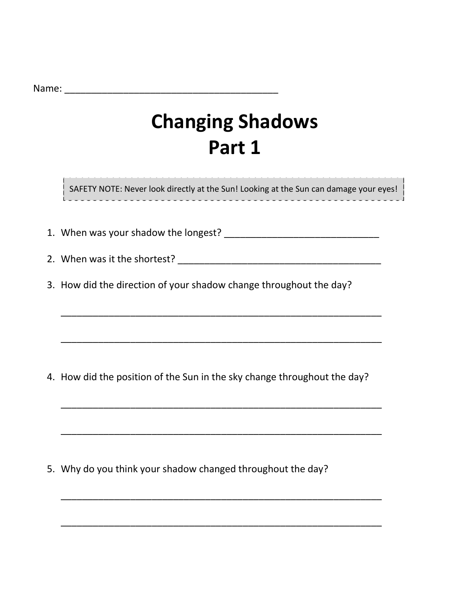Name: \_\_\_\_\_\_\_\_\_\_\_\_\_\_\_\_\_\_\_\_\_\_\_\_\_\_\_\_\_\_\_\_\_\_\_\_\_\_\_\_

# **Changing Shadows Part 1**

SAFETY NOTE: Never look directly at the Sun! Looking at the Sun can damage your eyes!

1. When was your shadow the longest? \_\_\_\_\_\_\_\_\_\_\_\_\_\_\_\_\_\_\_\_\_\_\_\_\_\_\_\_\_

2. When was it the shortest? \_\_\_\_\_\_\_\_\_\_\_\_\_\_\_\_\_\_\_\_\_\_\_\_\_\_\_\_\_\_\_\_\_\_\_\_\_\_

\_\_\_\_\_\_\_\_\_\_\_\_\_\_\_\_\_\_\_\_\_\_\_\_\_\_\_\_\_\_\_\_\_\_\_\_\_\_\_\_\_\_\_\_\_\_\_\_\_\_\_\_\_\_\_\_\_\_\_\_

\_\_\_\_\_\_\_\_\_\_\_\_\_\_\_\_\_\_\_\_\_\_\_\_\_\_\_\_\_\_\_\_\_\_\_\_\_\_\_\_\_\_\_\_\_\_\_\_\_\_\_\_\_\_\_\_\_\_\_\_

\_\_\_\_\_\_\_\_\_\_\_\_\_\_\_\_\_\_\_\_\_\_\_\_\_\_\_\_\_\_\_\_\_\_\_\_\_\_\_\_\_\_\_\_\_\_\_\_\_\_\_\_\_\_\_\_\_\_\_\_

\_\_\_\_\_\_\_\_\_\_\_\_\_\_\_\_\_\_\_\_\_\_\_\_\_\_\_\_\_\_\_\_\_\_\_\_\_\_\_\_\_\_\_\_\_\_\_\_\_\_\_\_\_\_\_\_\_\_\_\_

\_\_\_\_\_\_\_\_\_\_\_\_\_\_\_\_\_\_\_\_\_\_\_\_\_\_\_\_\_\_\_\_\_\_\_\_\_\_\_\_\_\_\_\_\_\_\_\_\_\_\_\_\_\_\_\_\_\_\_\_

\_\_\_\_\_\_\_\_\_\_\_\_\_\_\_\_\_\_\_\_\_\_\_\_\_\_\_\_\_\_\_\_\_\_\_\_\_\_\_\_\_\_\_\_\_\_\_\_\_\_\_\_\_\_\_\_\_\_\_\_

3. How did the direction of your shadow change throughout the day?

4. How did the position of the Sun in the sky change throughout the day?

5. Why do you think your shadow changed throughout the day?